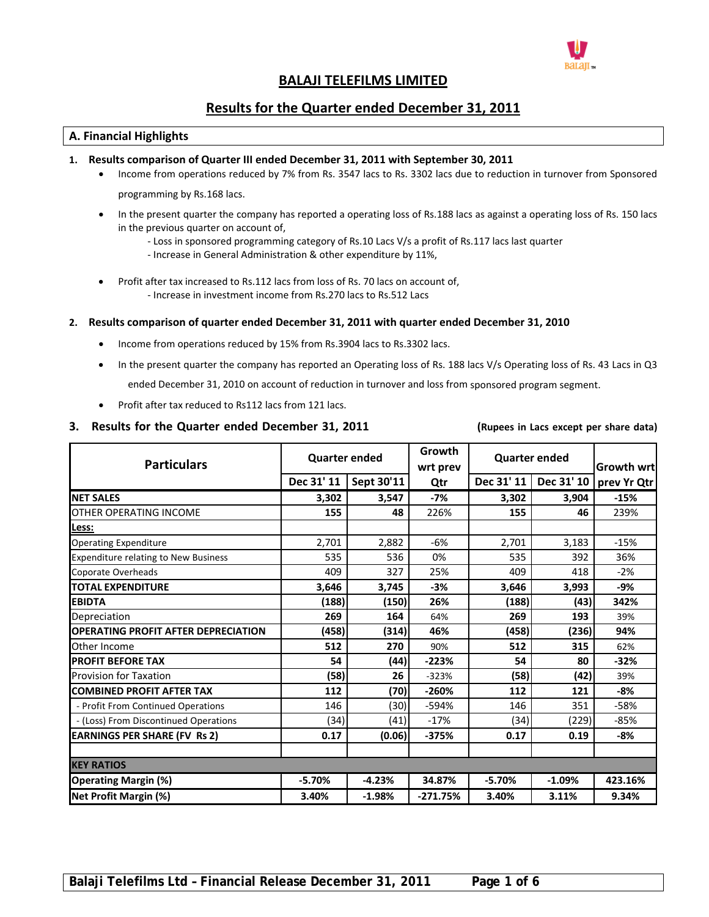

# **BALAJI TELEFILMS LIMITED**

# **Results for the Quarter ended December 31, 2011**

# **A. Financial Highlights**

# **1. Results comparison of Quarter III ended December 31, 2011 with September 30, 2011**

- Income from operations reduced by 7% from Rs. 3547 lacs to Rs. 3302 lacs due to reduction in turnover from Sponsored programming by Rs.168 lacs.
- In the present quarter the company has reported a operating loss of Rs.188 lacs as against a operating loss of Rs. 150 lacs in the previous quarter on account of,
	- ‐ Loss in sponsored programming category of Rs.10 Lacs V/s a profit of Rs.117 lacs last quarter
	- ‐ Increase in General Administration & other expenditure by 11%,
- Profit after tax increased to Rs.112 lacs from loss of Rs. 70 lacs on account of, ‐ Increase in investment income from Rs.270 lacs to Rs.512 Lacs

### **2. Results comparison of quarter ended December 31, 2011 with quarter ended December 31, 2010**

- Income from operations reduced by 15% from Rs.3904 lacs to Rs.3302 lacs.
- In the present quarter the company has reported an Operating loss of Rs. 188 lacs V/s Operating loss of Rs. 43 Lacs in Q3 ended December 31, 2010 on account of reduction in turnover and loss from sponsored program segment.
- Profit after tax reduced to Rs112 lacs from 121 lacs.

## 3. Results for the Quarter ended December 31, 2011 (Rupees in Lacs except per share data)

| <b>Particulars</b>                          | <b>Quarter ended</b> |            | Growth<br>wrt prev |            | <b>Quarter ended</b> | Growth wrt  |
|---------------------------------------------|----------------------|------------|--------------------|------------|----------------------|-------------|
|                                             | Dec 31' 11           | Sept 30'11 | Qtr                | Dec 31' 11 | Dec 31' 10           | prev Yr Qtr |
| <b>INET SALES</b>                           | 3,302                | 3,547      | $-7%$              | 3,302      | 3,904                | $-15%$      |
| OTHER OPERATING INCOME                      | 155                  | 48         | 226%               | 155        | 46                   | 239%        |
| Less:                                       |                      |            |                    |            |                      |             |
| <b>Operating Expenditure</b>                | 2,701                | 2,882      | $-6%$              | 2,701      | 3,183                | $-15%$      |
| <b>Expenditure relating to New Business</b> | 535                  | 536        | 0%                 | 535        | 392                  | 36%         |
| Coporate Overheads                          | 409                  | 327        | 25%                | 409        | 418                  | $-2%$       |
| <b>TOTAL EXPENDITURE</b>                    | 3,646                | 3,745      | $-3%$              | 3,646      | 3,993                | -9%         |
| <b>EBIDTA</b>                               | (188)                | (150)      | 26%                | (188)      | (43)                 | 342%        |
| Depreciation                                | 269                  | 164        | 64%                | 269        | 193                  | 39%         |
| <b>OPERATING PROFIT AFTER DEPRECIATION</b>  | (458)                | (314)      | 46%                | (458)      | (236)                | 94%         |
| Other Income                                | 512                  | 270        | 90%                | 512        | 315                  | 62%         |
| <b>PROFIT BEFORE TAX</b>                    | 54                   | (44)       | $-223%$            | 54         | 80                   | $-32%$      |
| <b>Provision for Taxation</b>               | (58)                 | 26         | $-323%$            | (58)       | (42)                 | 39%         |
| <b>ICOMBINED PROFIT AFTER TAX</b>           | 112                  | (70)       | $-260%$            | 112        | 121                  | $-8%$       |
| - Profit From Continued Operations          | 146                  | (30)       | $-594%$            | 146        | 351                  | $-58%$      |
| - (Loss) From Discontinued Operations       | (34)                 | (41)       | $-17%$             | (34)       | (229)                | $-85%$      |
| <b>EARNINGS PER SHARE (FV Rs 2)</b>         | 0.17                 | (0.06)     | $-375%$            | 0.17       | 0.19                 | $-8%$       |
|                                             |                      |            |                    |            |                      |             |
| <b>KEY RATIOS</b>                           |                      |            |                    |            |                      |             |
| <b>Operating Margin (%)</b>                 | $-5.70%$             | $-4.23%$   | 34.87%             | $-5.70%$   | $-1.09%$             | 423.16%     |
| Net Profit Margin (%)                       | 3.40%                | $-1.98%$   | $-271.75%$         | 3.40%      | 3.11%                | 9.34%       |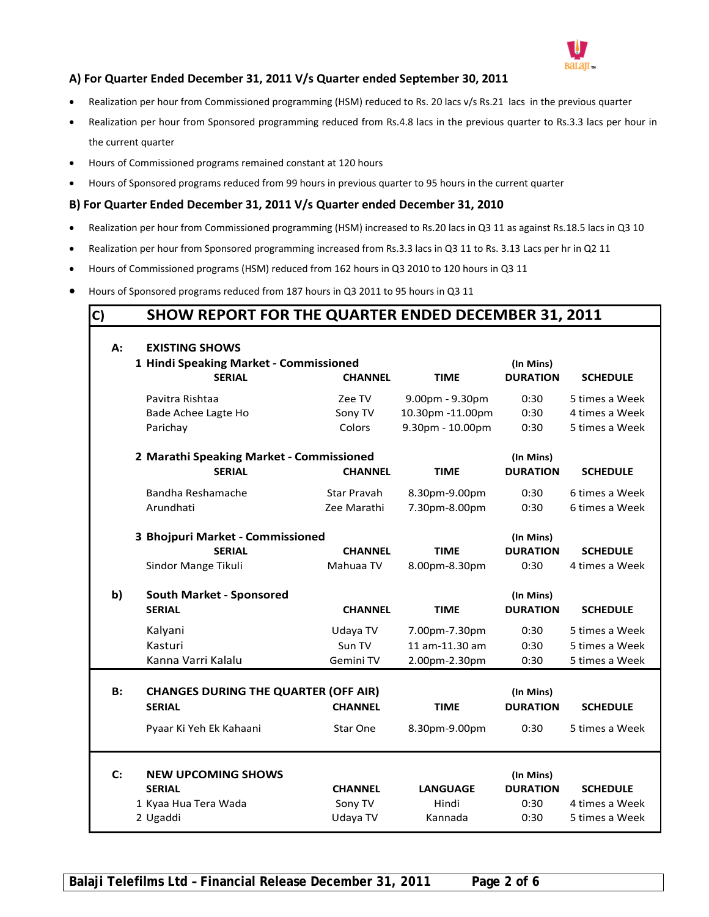

# **A) For Quarter Ended December 31, 2011 V/s Quarter ended September 30, 2011**

- Realization per hour from Commissioned programming (HSM) reduced to Rs. 20 lacs v/s Rs.21 lacs in the previous quarter
- Realization per hour from Sponsored programming reduced from Rs.4.8 lacs in the previous quarter to Rs.3.3 lacs per hour in the current quarter
- Hours of Commissioned programs remained constant at 120 hours
- Hours of Sponsored programs reduced from 99 hours in previous quarter to 95 hours in the current quarter

# **B) For Quarter Ended December 31, 2011 V/s Quarter ended December 31, 2010**

- Realization per hour from Commissioned programming (HSM) increased to Rs.20 lacs in Q3 11 as against Rs.18.5 lacs in Q3 10
- Realization per hour from Sponsored programming increased from Rs.3.3 lacs in Q3 11 to Rs. 3.13 Lacs per hr in Q2 11
- Hours of Commissioned programs (HSM) reduced from 162 hours in Q3 2010 to 120 hours in Q3 11
- Hours of Sponsored programs reduced from 187 hours in Q3 2011 to 95 hours in Q3 11

# **C) SHOW REPORT FOR THE QUARTER ENDED DECEMBER 31, 2011**

| A:        | <b>EXISTING SHOWS</b>                                        |                                        |                  |                              |                                  |  |  |  |  |
|-----------|--------------------------------------------------------------|----------------------------------------|------------------|------------------------------|----------------------------------|--|--|--|--|
|           |                                                              | 1 Hindi Speaking Market - Commissioned |                  |                              | (In Mins)                        |  |  |  |  |
|           | <b>SERIAL</b>                                                | <b>CHANNEL</b>                         | <b>TIME</b>      | <b>DURATION</b>              | <b>SCHEDULE</b>                  |  |  |  |  |
|           | Pavitra Rishtaa                                              | Zee TV                                 | 9.00pm - 9.30pm  | 0:30                         | 5 times a Week                   |  |  |  |  |
|           | Bade Achee Lagte Ho                                          | Sony TV                                | 10.30pm -11.00pm | 0:30                         | 4 times a Week                   |  |  |  |  |
|           | Parichay                                                     | Colors                                 | 9.30pm - 10.00pm | 0:30                         | 5 times a Week                   |  |  |  |  |
|           | 2 Marathi Speaking Market - Commissioned                     |                                        |                  | (In Mins)                    |                                  |  |  |  |  |
|           | <b>SERIAL</b>                                                | <b>CHANNEL</b>                         | <b>TIME</b>      | <b>DURATION</b>              | <b>SCHEDULE</b>                  |  |  |  |  |
|           | Bandha Reshamache                                            | <b>Star Pravah</b>                     | 8.30pm-9.00pm    | 0:30                         | 6 times a Week                   |  |  |  |  |
|           | Arundhati                                                    | Zee Marathi                            | 7.30pm-8.00pm    | 0:30                         | 6 times a Week                   |  |  |  |  |
|           | 3 Bhojpuri Market - Commissioned                             |                                        |                  | (In Mins)                    |                                  |  |  |  |  |
|           | <b>SERIAL</b>                                                | <b>CHANNEL</b>                         | <b>TIME</b>      | <b>DURATION</b>              | <b>SCHEDULE</b>                  |  |  |  |  |
|           | Sindor Mange Tikuli                                          | Mahuaa TV                              | 8.00pm-8.30pm    | 0:30                         | 4 times a Week                   |  |  |  |  |
| b)        | <b>South Market - Sponsored</b>                              |                                        |                  | (In Mins)                    |                                  |  |  |  |  |
|           | <b>SERIAL</b>                                                | <b>CHANNEL</b>                         | <b>TIME</b>      | <b>DURATION</b>              | <b>SCHEDULE</b>                  |  |  |  |  |
|           | Kalyani                                                      | Udaya TV                               | 7.00pm-7.30pm    | 0:30                         | 5 times a Week                   |  |  |  |  |
|           |                                                              |                                        |                  | 0:30                         |                                  |  |  |  |  |
|           | Kasturi                                                      | Sun TV                                 | 11 am-11.30 am   |                              | 5 times a Week                   |  |  |  |  |
|           | Kanna Varri Kalalu                                           | Gemini TV                              | 2.00pm-2.30pm    | 0:30                         | 5 times a Week                   |  |  |  |  |
|           |                                                              |                                        |                  |                              |                                  |  |  |  |  |
| <b>B:</b> | <b>CHANGES DURING THE QUARTER (OFF AIR)</b><br><b>SERIAL</b> | <b>CHANNEL</b>                         | <b>TIME</b>      | (In Mins)<br><b>DURATION</b> | <b>SCHEDULE</b>                  |  |  |  |  |
|           | Pyaar Ki Yeh Ek Kahaani                                      | Star One                               | 8.30pm-9.00pm    | 0:30                         | 5 times a Week                   |  |  |  |  |
|           |                                                              |                                        |                  |                              |                                  |  |  |  |  |
| C:        | <b>NEW UPCOMING SHOWS</b>                                    |                                        |                  | (In Mins)                    |                                  |  |  |  |  |
|           | <b>SERIAL</b>                                                | <b>CHANNEL</b>                         | <b>LANGUAGE</b>  | <b>DURATION</b>              | <b>SCHEDULE</b>                  |  |  |  |  |
|           | 1 Kyaa Hua Tera Wada<br>2 Ugaddi                             | Sony TV<br>Udaya TV                    | Hindi<br>Kannada | 0:30<br>0:30                 | 4 times a Week<br>5 times a Week |  |  |  |  |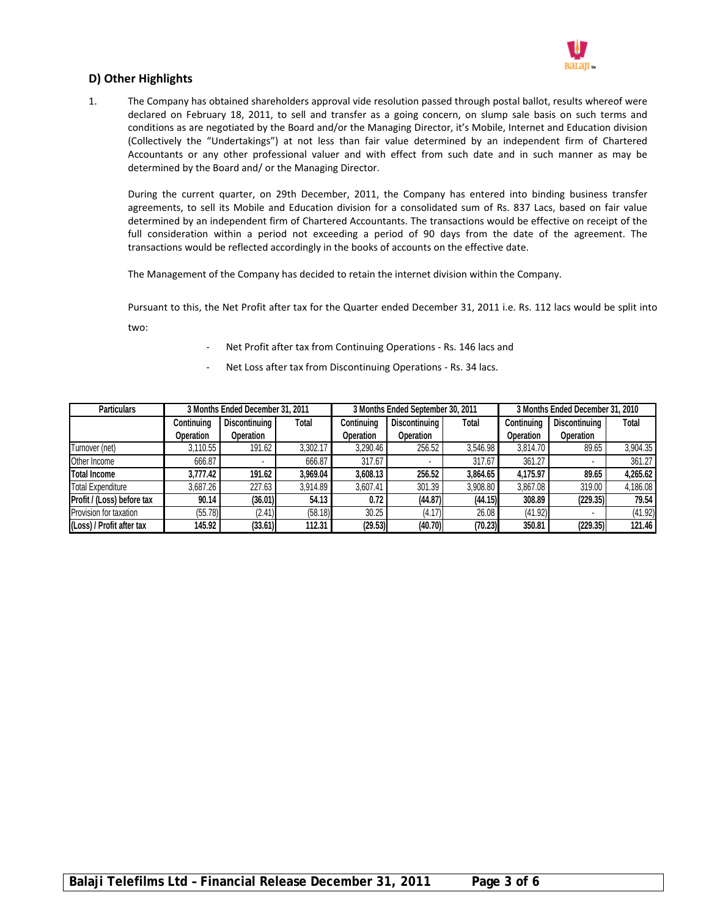

# **D) Other Highlights**

1. The Company has obtained shareholders approval vide resolution passed through postal ballot, results whereof were declared on February 18, 2011, to sell and transfer as a going concern, on slump sale basis on such terms and conditions as are negotiated by the Board and/or the Managing Director, it's Mobile, Internet and Education division (Collectively the "Undertakings") at not less than fair value determined by an independent firm of Chartered Accountants or any other professional valuer and with effect from such date and in such manner as may be determined by the Board and/ or the Managing Director.

During the current quarter, on 29th December, 2011, the Company has entered into binding business transfer agreements, to sell its Mobile and Education division for a consolidated sum of Rs. 837 Lacs, based on fair value determined by an independent firm of Chartered Accountants. The transactions would be effective on receipt of the full consideration within a period not exceeding a period of 90 days from the date of the agreement. The transactions would be reflected accordingly in the books of accounts on the effective date.

The Management of the Company has decided to retain the internet division within the Company.

Pursuant to this, the Net Profit after tax for the Quarter ended December 31, 2011 i.e. Rs. 112 lacs would be split into two:

- Net Profit after tax from Continuing Operations Rs. 146 lacs and
- Net Loss after tax from Discontinuing Operations Rs. 34 lacs.

| <b>Particulars</b>         | 3 Months Ended December 31, 2011 |               |          |            | 3 Months Ended September 30, 2011 |          | 3 Months Ended December 31, 2010 |               |          |
|----------------------------|----------------------------------|---------------|----------|------------|-----------------------------------|----------|----------------------------------|---------------|----------|
|                            | Continuing                       | Discontinuing | Total    | Continuing | Discontinuing                     | Total    | Continuing                       | Discontinuing | Total    |
|                            | Operation                        | Operation     |          | Operation  | Operation                         |          | Operation                        | Operation     |          |
| Turnover (net)             | 3,110.55                         | 191.62        | 3,302.17 | 3,290.46   | 256.52                            | 3,546.98 | 3,814.70                         | 89.65         | 3,904.35 |
| Other Income               | 666.87                           |               | 666.87   | 317.67     |                                   | 317.67   | 361.27                           |               | 361.27   |
| <b>Total Income</b>        | 3.777.42                         | 191.62        | 3.969.04 | 3,608.13   | 256.52                            | 3.864.65 | 4.175.97                         | 89.65         | 4,265.62 |
| <b>Total Expenditure</b>   | 3.687.26                         | 227.63        | 3.914.89 | 3.607.41   | 301.39                            | 3,908.80 | 3,867.08                         | 319.00        | 4,186.08 |
| Profit / (Loss) before tax | 90.14                            | (36.01)       | 54.13    | 0.72       | (44.87)                           | (44.15)  | 308.89                           | (229.35)      | 79.54    |
| Provision for taxation     | (55.78)                          | (2.41)        | (58.18)  | 30.25      | (4.17)                            | 26.08    | (41.92)                          |               | (41.92)  |
| (Loss) / Profit after tax  | 145.92                           | (33.61)       | 112.31   | (29.53)    | (40.70)                           | (70.23)  | 350.81                           | (229.35)      | 121.46   |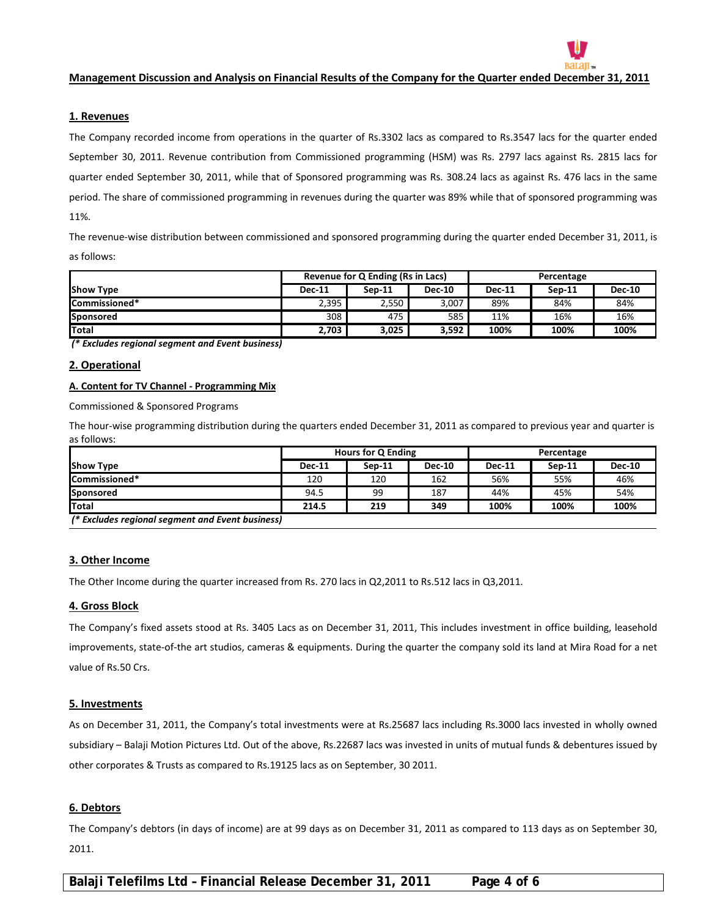

#### **1. Revenues**

The Company recorded income from operations in the quarter of Rs.3302 lacs as compared to Rs.3547 lacs for the quarter ended September 30, 2011. Revenue contribution from Commissioned programming (HSM) was Rs. 2797 lacs against Rs. 2815 lacs for quarter ended September 30, 2011, while that of Sponsored programming was Rs. 308.24 lacs as against Rs. 476 lacs in the same period. The share of commissioned programming in revenues during the quarter was 89% while that of sponsored programming was 11%.

The revenue-wise distribution between commissioned and sponsored programming during the quarter ended December 31, 2011, is as follows:

|                      |                                                             | Revenue for Q Ending (Rs in Lacs) |       | Percentage |          |               |  |
|----------------------|-------------------------------------------------------------|-----------------------------------|-------|------------|----------|---------------|--|
| <b>Show Type</b>     | <b>Dec-10</b><br><b>Dec-11</b><br>$Sen-11$<br><b>Dec-11</b> |                                   |       |            | $Sen-11$ | <b>Dec-10</b> |  |
| <b>Commissioned*</b> | 2,395                                                       | 2,550                             | 3,007 | 89%        | 84%      | 84%           |  |
| Sponsored            | 308                                                         | 475                               | 585   | 11%        | 16%      | 16%           |  |
| <b>Total</b>         | 2.703                                                       | 3,025                             | 3.592 | 100%       | 100%     | 100%          |  |

*(\* Excludes regional segment and Event business)*

#### **2. Operational**

#### **A. Content for TV Channel ‐ Programming Mix**

Commissioned & Sponsored Programs

The hour‐wise programming distribution during the quarters ended December 31, 2011 as compared to previous year and quarter is as follows:

|                                                  | <b>Hours for Q Ending</b> |        |               | Percentage    |          |               |
|--------------------------------------------------|---------------------------|--------|---------------|---------------|----------|---------------|
| <b>Show Type</b>                                 | <b>Dec-11</b>             | Sep-11 | <b>Dec-10</b> | <b>Dec-11</b> | $Sen-11$ | <b>Dec-10</b> |
| <b>ICommissioned*</b>                            | 120                       | 120    | 162           | 56%           | 55%      | 46%           |
| <b>Sponsored</b>                                 | 94.5                      | 99     | 187           | 44%           | 45%      | 54%           |
| Total                                            | 214.5                     | 219    | 349           | 100%          | 100%     | 100%          |
| (* Excludes regional segment and Event business) |                           |        |               |               |          |               |

#### **3. Other Income**

The Other Income during the quarter increased from Rs. 270 lacs in Q2,2011 to Rs.512 lacs in Q3,2011.

#### **4. Gross Block**

The Company's fixed assets stood at Rs. 3405 Lacs as on December 31, 2011, This includes investment in office building, leasehold improvements, state‐of‐the art studios, cameras & equipments. During the quarter the company sold its land at Mira Road for a net value of Rs.50 Crs.

#### **5. Investments**

As on December 31, 2011, the Company's total investments were at Rs.25687 lacs including Rs.3000 lacs invested in wholly owned subsidiary – Balaji Motion Pictures Ltd. Out of the above, Rs.22687 lacs was invested in units of mutual funds & debentures issued by other corporates & Trusts as compared to Rs.19125 lacs as on September, 30 2011.

#### **6. Debtors**

The Company's debtors (in days of income) are at 99 days as on December 31, 2011 as compared to 113 days as on September 30, 2011.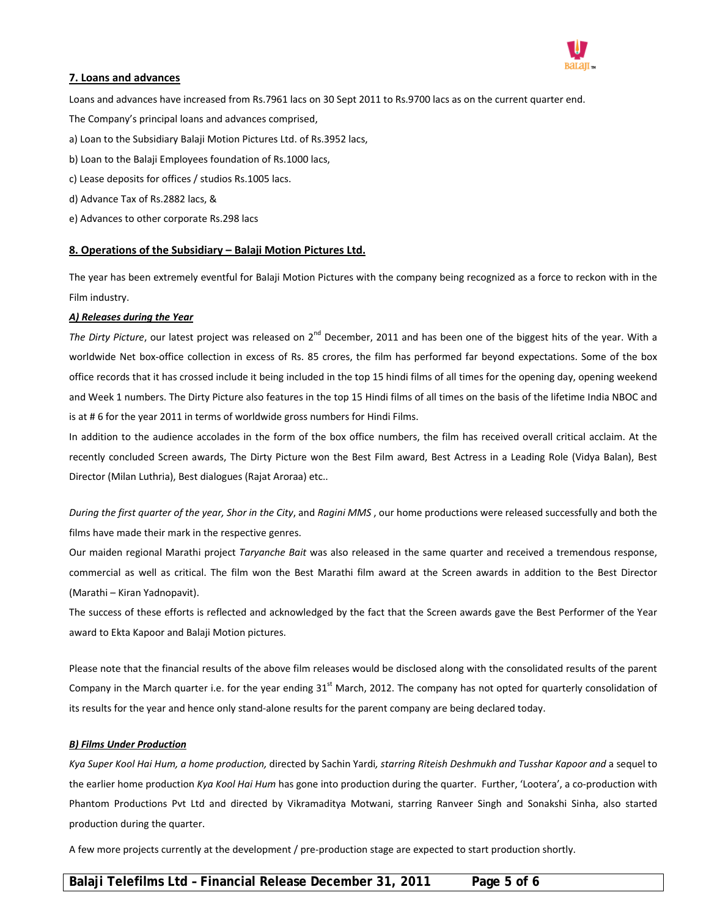

#### **7. Loans and advances**

Loans and advances have increased from Rs.7961 lacs on 30 Sept 2011 to Rs.9700 lacs as on the current quarter end.

The Company's principal loans and advances comprised,

- a) Loan to the Subsidiary Balaji Motion Pictures Ltd. of Rs.3952 lacs,
- b) Loan to the Balaji Employees foundation of Rs.1000 lacs,
- c) Lease deposits for offices / studios Rs.1005 lacs.
- d) Advance Tax of Rs.2882 lacs, &
- e) Advances to other corporate Rs.298 lacs

### **8. Operations of the Subsidiary – Balaji Motion Pictures Ltd.**

The year has been extremely eventful for Balaji Motion Pictures with the company being recognized as a force to reckon with in the Film industry.

#### *A) Releases during the Year*

*The Dirty Picture*, our latest project was released on 2<sup>nd</sup> December, 2011 and has been one of the biggest hits of the year. With a worldwide Net box-office collection in excess of Rs. 85 crores, the film has performed far beyond expectations. Some of the box office records that it has crossed include it being included in the top 15 hindi films of all times for the opening day, opening weekend and Week 1 numbers. The Dirty Picture also features in the top 15 Hindi films of all times on the basis of the lifetime India NBOC and is at # 6 for the year 2011 in terms of worldwide gross numbers for Hindi Films.

In addition to the audience accolades in the form of the box office numbers, the film has received overall critical acclaim. At the recently concluded Screen awards, The Dirty Picture won the Best Film award, Best Actress in a Leading Role (Vidya Balan), Best Director (Milan Luthria), Best dialogues (Rajat Aroraa) etc..

*During the first quarter of the year, Shor in the City*, and *Ragini MMS* , our home productions were released successfully and both the films have made their mark in the respective genres.

Our maiden regional Marathi project *Taryanche Bait* was also released in the same quarter and received a tremendous response, commercial as well as critical. The film won the Best Marathi film award at the Screen awards in addition to the Best Director (Marathi – Kiran Yadnopavit).

The success of these efforts is reflected and acknowledged by the fact that the Screen awards gave the Best Performer of the Year award to Ekta Kapoor and Balaji Motion pictures.

Please note that the financial results of the above film releases would be disclosed along with the consolidated results of the parent Company in the March quarter i.e. for the year ending  $31^{st}$  March, 2012. The company has not opted for quarterly consolidation of its results for the year and hence only stand‐alone results for the parent company are being declared today.

#### *B) Films Under Production*

Kya Super Kool Hai Hum, a home production, directed by Sachin Yardi, starring Riteish Deshmukh and Tusshar Kapoor and a sequel to the earlier home production *Kya Kool Hai Hum* has gone into production during the quarter. Further, 'Lootera', a co‐production with Phantom Productions Pvt Ltd and directed by Vikramaditya Motwani, starring Ranveer Singh and Sonakshi Sinha, also started production during the quarter.

A few more projects currently at the development / pre‐production stage are expected to start production shortly.

# **Balaji Telefilms Ltd – Financial Release December 31, 2011 Page 5 of 6**